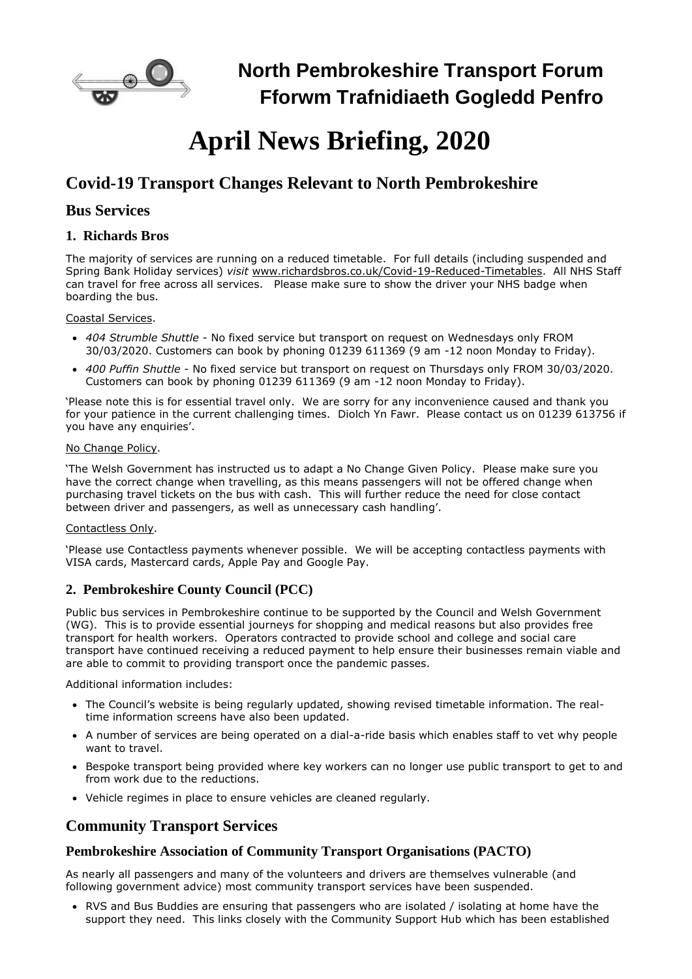

# **April News Briefing, 2020**

# **Covid-19 Transport Changes Relevant to North Pembrokeshire**

# **Bus Services**

# **1. Richards Bros**

The majority of services are running on a reduced timetable. For full details (including suspended and Spring Bank Holiday services) *visit* [www.richardsbros.co.uk/Covid-19-Reduced-Timetables.](http://www.richardsbros.co.uk/Covid-19-Reduced-Timetables) All NHS Staff can travel for free across all services. Please make sure to show the driver your NHS badge when boarding the bus.

### Coastal Services.

- *404 Strumble Shuttle* No fixed service but transport on request on Wednesdays only FROM 30/03/2020. Customers can book by phoning 01239 611369 (9 am -12 noon Monday to Friday).
- *400 Puffin Shuttle* No fixed service but transport on request on Thursdays only FROM 30/03/2020. Customers can book by phoning 01239 611369 (9 am -12 noon Monday to Friday).

'Please note this is for essential travel only. We are sorry for any inconvenience caused and thank you for your patience in the current challenging times. Diolch Yn Fawr. Please contact us on 01239 613756 if you have any enquiries'.

### No Change Policy.

'The Welsh Government has instructed us to adapt a No Change Given Policy. Please make sure you have the correct change when travelling, as this means passengers will not be offered change when purchasing travel tickets on the bus with cash. This will further reduce the need for close contact between driver and passengers, as well as unnecessary cash handling'.

## Contactless Only.

'Please use Contactless payments whenever possible. We will be accepting contactless payments with VISA cards, Mastercard cards, Apple Pay and Google Pay.

# **2. Pembrokeshire County Council (PCC)**

Public bus services in Pembrokeshire continue to be supported by the Council and Welsh Government (WG). This is to provide essential journeys for shopping and medical reasons but also provides free transport for health workers. Operators contracted to provide school and college and social care transport have continued receiving a reduced payment to help ensure their businesses remain viable and are able to commit to providing transport once the pandemic passes.

Additional information includes:

- The Council's website is being regularly updated, showing revised timetable information. The realtime information screens have also been updated.
- A number of services are being operated on a dial-a-ride basis which enables staff to vet why people want to travel.
- Bespoke transport being provided where key workers can no longer use public transport to get to and from work due to the reductions.
- Vehicle regimes in place to ensure vehicles are cleaned regularly.

# **Community Transport Services**

## **Pembrokeshire Association of Community Transport Organisations (PACTO)**

As nearly all passengers and many of the volunteers and drivers are themselves vulnerable (and following government advice) most community transport services have been suspended.

• RVS and Bus Buddies are ensuring that passengers who are isolated / isolating at home have the support they need. This links closely with the Community Support Hub which has been established